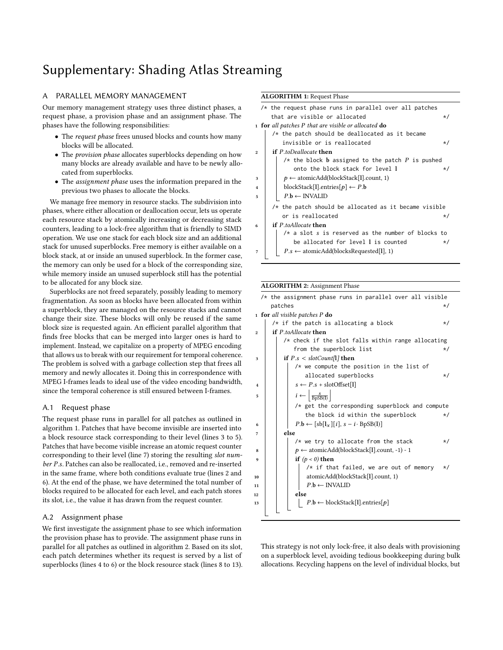# Supplementary: Shading Atlas Streaming

## A PARALLEL MEMORY MANAGEMENT

Our memory management strategy uses three distinct phases, a request phase, a provision phase and an assignment phase. The phases have the following responsibilities:

- The *request phase* frees unused blocks and counts how many blocks will be allocated.
- The provision phase allocates superblocks depending on how many blocks are already available and have to be newly allocated from superblocks.
- The assignment phase uses the information prepared in the previous two phases to allocate the blocks.

We manage free memory in resource stacks. The subdivision into phases, where either allocation or deallocation occur, lets us operate each resource stack by atomically increasing or decreasing stack counters, leading to a lock-free algorithm that is friendly to SIMD operation. We use one stack for each block size and an additional stack for unused superblocks. Free memory is either available on a block stack, at or inside an unused superblock. In the former case, the memory can only be used for a block of the corresponding size, while memory inside an unused superblock still has the potential to be allocated for any block size.

Superblocks are not freed separately, possibly leading to memory fragmentation. As soon as blocks have been allocated from within a superblock, they are managed on the resource stacks and cannot change their size. These blocks will only be reused if the same block size is requested again. An efficient parallel algorithm that finds free blocks that can be merged into larger ones is hard to implement. Instead, we capitalize on a property of MPEG encoding that allows us to break with our requirement for temporal coherence. The problem is solved with a garbage collection step that frees all memory and newly allocates it. Doing this in correspondence with MPEG I-frames leads to ideal use of the video encoding bandwidth, since the temporal coherence is still ensured between I-frames.

#### A.1 Request phase

The request phase runs in parallel for all patches as outlined in algorithm [1.](#page-0-0) Patches that have become invisible are inserted into a block resource stack corresponding to their level (lines 3 to 5). Patches that have become visible increase an atomic request counter corresponding to their level (line 7) storing the resulting slot number P.s. Patches can also be reallocated, i.e., removed and re-inserted in the same frame, where both conditions evaluate true (lines 2 and 6). At the end of the phase, we have determined the total number of blocks required to be allocated for each level, and each patch stores its slot, i.e., the value it has drawn from the request counter.

#### A.2 Assignment phase

We first investigate the assignment phase to see which information the provision phase has to provide. The assignment phase runs in parallel for all patches as outlined in algorithm [2.](#page-0-1) Based on its slot, each patch determines whether its request is served by a list of superblocks (lines 4 to 6) or the block resource stack (lines 8 to 13).

### ALGORITHM 1: Request Phase

|                | $/*$ the request phase runs in parallel over all patches |
|----------------|----------------------------------------------------------|
|                | that are visible or allocated<br>$\star/$                |
|                | $_1$ for all patches P that are visible or allocated do  |
|                | $/*$ the patch should be deallocated as it became        |
|                | invisible or is reallocated<br>$\star/$                  |
| $\overline{2}$ | <b>if</b> P.toDeallocate then                            |
|                | $/*$ the block b assigned to the patch P is pushed       |
|                | onto the block stack for level I<br>$\star/$             |
| 3              | $p \leftarrow$ atomicAdd(blockStack[1].count, 1)         |
| $\overline{4}$ | blockStack[1].entries[ $p$ ] $\leftarrow$ P.b            |
| 5              | $P.b \leftarrow \text{INVALID}$                          |
|                |                                                          |
|                | $/*$ the patch should be allocated as it became visible  |
|                | or is reallocated<br>$\star/$                            |
| 6              | <b>if</b> P.toAllocate <b>then</b>                       |
|                | $/*$ a slot s is reserved as the number of blocks to     |
|                | be allocated for level I is counted<br>$\star/$          |
| 7              | $P.s \leftarrow$ atomicAdd(blocksRequested[1], 1)        |
|                |                                                          |

#### <span id="page-0-0"></span>ALGORITHM 2: Assignment Phase

|                | $/*$ the assignment phase runs in parallel over all visible |
|----------------|-------------------------------------------------------------|
|                | patches<br>$\star/$                                         |
|                | <b>1 for</b> all visible patches P $\bf{do}$                |
|                | $/*$ if the patch is allocating a block<br>$\star/$         |
| $\overline{2}$ | <b>if</b> P.toAllocate <b>then</b>                          |
|                | $/*$ check if the slot falls within range allocating        |
|                | from the superblock list<br>*/                              |
| 3              | if $P.s < slotCount[1]$ then                                |
|                | $/*$ we compute the position in the list of                 |
|                | allocated superblocks<br>$\star/$                           |
| 4              | $s \leftarrow P.s + \text{slotOffset}[1]$                   |
| 5              | $i \leftarrow \left  \frac{s}{\text{BoSB(I)}} \right $      |
|                | $/*$ get the corresponding superblock and compute           |
|                | the block id within the superblock<br>$\star/$              |
| 6              | $P.b \leftarrow [sb[1x][i], s - i \cdot BpSB(l)]$           |
| 7              | else                                                        |
|                | $/*$ we try to allocate from the stack<br>$\star/$          |
| 8              | $p \leftarrow$ atomicAdd(blockStack[1].count, -1) - 1       |
| 9              | if $(p < 0)$ then                                           |
|                | $/*$ if that failed, we are out of memory<br>$\star/$       |
| 10             | atomicAdd(blockStack[1].count, 1)                           |
| 11             | $P.b \leftarrow \text{INVALID}$                             |
| 12             | else                                                        |
| 13             | $P.b \leftarrow \text{blockStack}[1].entries[p]$            |
|                |                                                             |
|                |                                                             |

<span id="page-0-1"></span>This strategy is not only lock-free, it also deals with provisioning on a superblock level, avoiding tedious bookkeeping during bulk allocations. Recycling happens on the level of individual blocks, but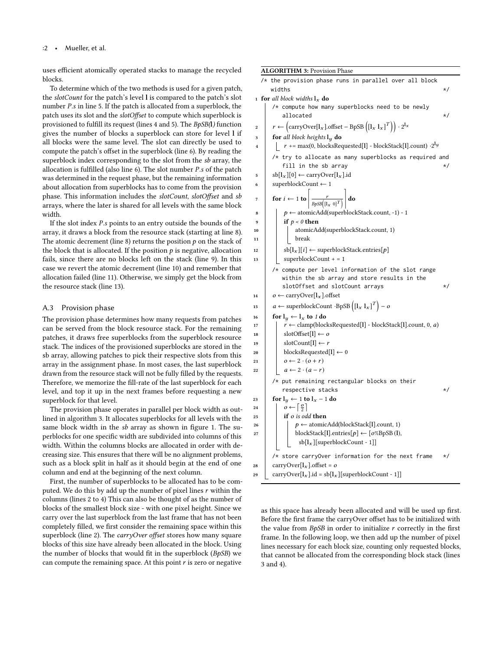uses efficient atomically operated stacks to manage the recycled blocks.

To determine which of the two methods is used for a given patch, the slotCount for the patch's level l is compared to the patch's slot number P.s in line 5. If the patch is allocated from a superblock, the patch uses its slot and the slotOffset to compute which superblock is provisioned to fulfill its request (lines 4 and 5). The BpSB(l) function gives the number of blocks a superblock can store for level l if all blocks were the same level. The slot can directly be used to compute the patch's offset in the superblock (line 6). By reading the superblock index corresponding to the slot from the sb array, the allocation is fulfilled (also line 6). The slot number P.s of the patch was determined in the request phase, but the remaining information about allocation from superblocks has to come from the provision phase. This information includes the slotCount, slotOffset and sb arrays, where the later is shared for all levels with the same block width.

If the slot index P.s points to an entry outside the bounds of the array, it draws a block from the resource stack (starting at line 8). The atomic decrement (line 8) returns the position  $p$  on the stack of the block that is allocated. If the position  $p$  is negative, allocation fails, since there are no blocks left on the stack (line 9). In this case we revert the atomic decrement (line 10) and remember that allocation failed (line 11). Otherwise, we simply get the block from the resource stack (line 13).

## A.3 Provision phase

The provision phase determines how many requests from patches can be served from the block resource stack. For the remaining patches, it draws free superblocks from the superblock resource stack. The indices of the provisioned superblocks are stored in the sb array, allowing patches to pick their respective slots from this array in the assignment phase. In most cases, the last superblock drawn from the resource stack will not be fully filled by the requests. Therefore, we memorize the fill-rate of the last superblock for each level, and top it up in the next frames before requesting a new superblock for that level.

The provision phase operates in parallel per block width as outlined in algorithm [3.](#page-1-0) It allocates superblocks for all levels with the same block width in the sb array as shown in figure [1.](#page-2-0) The superblocks for one specific width are subdivided into columns of this width. Within the columns blocks are allocated in order with decreasing size. This ensures that there will be no alignment problems, such as a block split in half as it should begin at the end of one column and end at the beginning of the next column.

First, the number of superblocks to be allocated has to be computed. We do this by add up the number of pixel lines  $r$  within the columns (lines 2 to 4) This can also be thought of as the number of blocks of the smallest block size - with one pixel height. Since we carry over the last superblock from the last frame that has not been completely filled, we first consider the remaining space within this superblock (line 2). The carryOver offset stores how many square blocks of this size have already been allocated in the block. Using the number of blocks that would fit in the superblock  $(BpSB)$  we can compute the remaining space. At this point  $r$  is zero or negative

ALGORITHM 3: Provision Phase /\* the provision phase runs in parallel over all block widths  $\star/$ 1 for all block widths  $\mathbf{l}_x$  do /\* compute how many superblocks need to be newly  $allocated$   $*$ 2  $r \leftarrow \left( \text{carryOver}[\mathbf{l}_x].\text{offset} - \text{BpSB}\left( [\mathbf{l}_x \ \mathbf{l}_x ]^T \right) \right) \cdot 2^{\mathbf{l}_x}$  $\begin{array}{c|c} \text{3} & \text{for all block heights } l_y \text{ do} \\ \text{4} & \text{r} \text{ +} = \text{max}(0, \text{blocksRec}) \end{array}$  $r + = \max(0, \text{blocksRequired}[1] - \text{blockStack}[1].count) \cdot 2^{\lg n}$ /\* try to allocate as many superblocks as required and fill in the sb array  $*$ /  $\begin{array}{c|c}\n\text{sb}[l_x][0] \leftarrow \text{carryOver}[l_x].\text{id} \\
\text{superblockCount} \leftarrow 1\n\end{array}$ superblockCount ← 1 7  $\vert$  for  $i \leftarrow 1$  to  $\vert$  $\overline{BpSB}([1_{x} \ 0]^{T})$ ' do 8  $\vert \vert p \leftarrow$  atomicAdd(superblockStack.count, -1) - 1 9 if  $p < 0$  then 10 | atomicAdd(superblockStack.count, 1)  $11$  break 12  $\Big|$  sb[l<sub>x</sub>][i]  $\leftarrow$  superblockStack.entries[*p*]<br>
13 superblockCount + = 1  $superblockCount += 1$ /\* compute per level information of the slot range within the sb array and store results in the slotOffset and slotCount arrays \*/ 14  $o \leftarrow \text{carryOver}[\mathbf{l}_x]$ .offset 15  $a \leftarrow \text{superblockCount } \cdot \text{BpSB}\left(\begin{bmatrix} \mathbf{I}_x & \mathbf{I}_x \end{bmatrix}^T\right) - \mathbf{0}$ 16  $\left\{\begin{array}{c}\n\text{for } \mathbf{l}_y \leftarrow \mathbf{l}_x \text{ to } 1 \text{ do} \\
\mathbf{l}_z \leftarrow \text{clamp(bloc}\n\end{array}\right\}$  $r \leftarrow$  clamp(blocksRequested[1] - blockStack[1].count, 0, a) 18 | slotOffset[l]  $\leftarrow$  o 19 | slotCount $[1] \leftarrow r$ 20 blocksRequested[l]  $\leftarrow 0$ 21  $\vert \vert$   $o \leftarrow 2 \cdot (o + r)$ 22  $a \leftarrow 2 \cdot (a-r)$ /\* put remaining rectangular blocks on their respective stacks  $*$ / 23 for  $\vert y \leftarrow 1$  to  $\vert x - 1$  do<br>
24  $\vert y \leftarrow \left\lceil \frac{c}{2} \right\rceil$ 24  $\left| \left| \right| \circ \leftarrow \left[ \frac{\circ}{2} \right]$  $25$  if o is odd then 26  $\vert \vert \vert p \leftarrow$  atomicAdd(blockStack[I].count, 1) 27 blockStack[l].entries[ $p$ ] ← [ $o$ %BpSB (l),  $sb[l_x][superblockCount - 1]]$ /\* store carryOver information for the next frame \*/ 28 carryOver[ $l_x$ ].offset = *o*<br>29 carryOver[ $l_x$ ].id = sb[ $l_x$  $carryOver[I_x].id = sb[I_x][superblockCount - 1]]$ 

<span id="page-1-0"></span>as this space has already been allocated and will be used up first. Before the first frame the carryOver offset has to be initialized with the value from  $BpSB$  in order to initialize  $r$  correctly in the first frame. In the following loop, we then add up the number of pixel lines necessary for each block size, counting only requested blocks, that cannot be allocated from the corresponding block stack (lines 3 and 4).